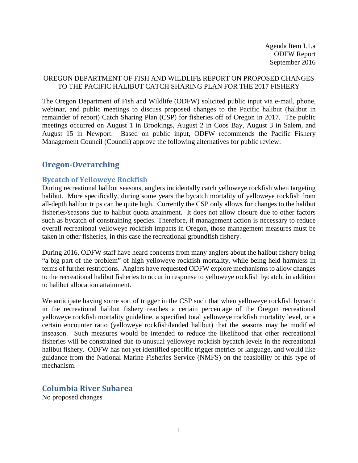Agenda Item I.1.a ODFW Report September 2016

### OREGON DEPARTMENT OF FISH AND WILDLIFE REPORT ON PROPOSED CHANGES TO THE PACIFIC HALIBUT CATCH SHARING PLAN FOR THE 2017 FISHERY

The Oregon Department of Fish and Wildlife (ODFW) solicited public input via e-mail, phone, webinar, and public meetings to discuss proposed changes to the Pacific halibut (halibut in remainder of report) Catch Sharing Plan (CSP) for fisheries off of Oregon in 2017. The public meetings occurred on August 1 in Brookings, August 2 in Coos Bay, August 3 in Salem, and August 15 in Newport. Based on public input, ODFW recommends the Pacific Fishery Management Council (Council) approve the following alternatives for public review:

# **Oregon-Overarching**

### **Bycatch of Yelloweye Rockfish**

During recreational halibut seasons, anglers incidentally catch yelloweye rockfish when targeting halibut. More specifically, during some years the bycatch mortality of yelloweye rockfish from all-depth halibut trips can be quite high. Currently the CSP only allows for changes to the halibut fisheries/seasons due to halibut quota attainment. It does not allow closure due to other factors such as bycatch of constraining species. Therefore, if management action is necessary to reduce overall recreational yelloweye rockfish impacts in Oregon, those management measures must be taken in other fisheries, in this case the recreational groundfish fishery.

During 2016, ODFW staff have heard concerns from many anglers about the halibut fishery being "a big part of the problem" of high yelloweye rockfish mortality, while being held harmless in terms of further restrictions. Anglers have requested ODFW explore mechanisms to allow changes to the recreational halibut fisheries to occur in response to yelloweye rockfish bycatch, in addition to halibut allocation attainment.

We anticipate having some sort of trigger in the CSP such that when yelloweye rockfish bycatch in the recreational halibut fishery reaches a certain percentage of the Oregon recreational yelloweye rockfish mortality guideline, a specified total yelloweye rockfish mortality level, or a certain encounter ratio (yelloweye rockfish/landed halibut) that the seasons may be modified inseason. Such measures would be intended to reduce the likelihood that other recreational fisheries will be constrained due to unusual yelloweye rockfish bycatch levels in the recreational halibut fishery. ODFW has not yet identified specific trigger metrics or language, and would like guidance from the National Marine Fisheries Service (NMFS) on the feasibility of this type of mechanism.

### **Columbia River Subarea**

No proposed changes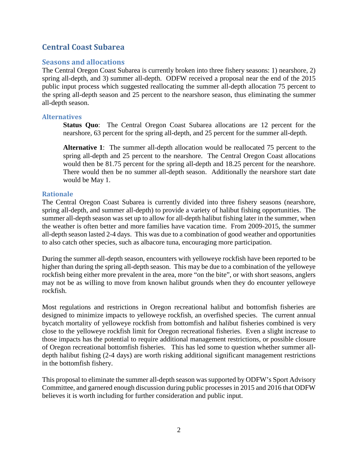# **Central Coast Subarea**

### **Seasons and allocations**

The Central Oregon Coast Subarea is currently broken into three fishery seasons: 1) nearshore, 2) spring all-depth, and 3) summer all-depth. ODFW received a proposal near the end of the 2015 public input process which suggested reallocating the summer all-depth allocation 75 percent to the spring all-depth season and 25 percent to the nearshore season, thus eliminating the summer all-depth season.

#### **Alternatives**

**Status Quo**: The Central Oregon Coast Subarea allocations are 12 percent for the nearshore, 63 percent for the spring all-depth, and 25 percent for the summer all-depth.

**Alternative 1**: The summer all-depth allocation would be reallocated 75 percent to the spring all-depth and 25 percent to the nearshore. The Central Oregon Coast allocations would then be 81.75 percent for the spring all-depth and 18.25 percent for the nearshore. There would then be no summer all-depth season. Additionally the nearshore start date would be May 1.

### **Rationale**

The Central Oregon Coast Subarea is currently divided into three fishery seasons (nearshore, spring all-depth, and summer all-depth) to provide a variety of halibut fishing opportunities. The summer all-depth season was set up to allow for all-depth halibut fishing later in the summer, when the weather is often better and more families have vacation time. From 2009-2015, the summer all-depth season lasted 2-4 days. This was due to a combination of good weather and opportunities to also catch other species, such as albacore tuna, encouraging more participation.

During the summer all-depth season, encounters with yelloweye rockfish have been reported to be higher than during the spring all-depth season. This may be due to a combination of the yelloweye rockfish being either more prevalent in the area, more "on the bite", or with short seasons, anglers may not be as willing to move from known halibut grounds when they do encounter yelloweye rockfish.

Most regulations and restrictions in Oregon recreational halibut and bottomfish fisheries are designed to minimize impacts to yelloweye rockfish, an overfished species. The current annual bycatch mortality of yelloweye rockfish from bottomfish and halibut fisheries combined is very close to the yelloweye rockfish limit for Oregon recreational fisheries. Even a slight increase to those impacts has the potential to require additional management restrictions, or possible closure of Oregon recreational bottomfish fisheries. This has led some to question whether summer alldepth halibut fishing (2-4 days) are worth risking additional significant management restrictions in the bottomfish fishery.

This proposal to eliminate the summer all-depth season was supported by ODFW's Sport Advisory Committee, and garnered enough discussion during public processes in 2015 and 2016 that ODFW believes it is worth including for further consideration and public input.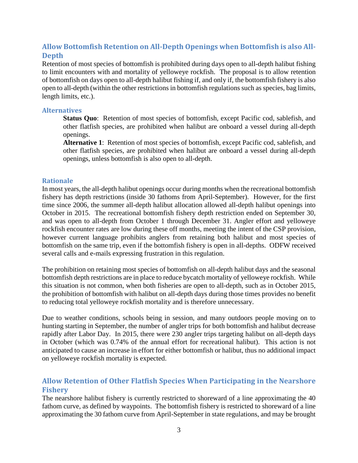# **Allow Bottomfish Retention on All-Depth Openings when Bottomfish is also All-Depth**

Retention of most species of bottomfish is prohibited during days open to all-depth halibut fishing to limit encounters with and mortality of yelloweye rockfish. The proposal is to allow retention of bottomfish on days open to all-depth halibut fishing if, and only if, the bottomfish fishery is also open to all-depth (within the other restrictions in bottomfish regulations such as species, bag limits, length limits, etc.).

### **Alternatives**

**Status Quo**: Retention of most species of bottomfish, except Pacific cod, sablefish, and other flatfish species, are prohibited when halibut are onboard a vessel during all-depth openings.

**Alternative 1**: Retention of most species of bottomfish, except Pacific cod, sablefish, and other flatfish species, are prohibited when halibut are onboard a vessel during all-depth openings, unless bottomfish is also open to all-depth.

### **Rationale**

In most years, the all-depth halibut openings occur during months when the recreational bottomfish fishery has depth restrictions (inside 30 fathoms from April-September). However, for the first time since 2006, the summer all-depth halibut allocation allowed all-depth halibut openings into October in 2015. The recreational bottomfish fishery depth restriction ended on September 30, and was open to all-depth from October 1 through December 31. Angler effort and yelloweye rockfish encounter rates are low during these off months, meeting the intent of the CSP provision, however current language prohibits anglers from retaining both halibut and most species of bottomfish on the same trip, even if the bottomfish fishery is open in all-depths. ODFW received several calls and e-mails expressing frustration in this regulation.

The prohibition on retaining most species of bottomfish on all-depth halibut days and the seasonal bottomfish depth restrictions are in place to reduce bycatch mortality of yelloweye rockfish. While this situation is not common, when both fisheries are open to all-depth, such as in October 2015, the prohibition of bottomfish with halibut on all-depth days during those times provides no benefit to reducing total yelloweye rockfish mortality and is therefore unnecessary.

Due to weather conditions, schools being in session, and many outdoors people moving on to hunting starting in September, the number of angler trips for both bottomfish and halibut decrease rapidly after Labor Day. In 2015, there were 230 angler trips targeting halibut on all-depth days in October (which was 0.74% of the annual effort for recreational halibut). This action is not anticipated to cause an increase in effort for either bottomfish or halibut, thus no additional impact on yelloweye rockfish mortality is expected.

## **Allow Retention of Other Flatfish Species When Participating in the Nearshore Fishery**

The nearshore halibut fishery is currently restricted to shoreward of a line approximating the 40 fathom curve, as defined by waypoints. The bottomfish fishery is restricted to shoreward of a line approximating the 30 fathom curve from April-September in state regulations, and may be brought